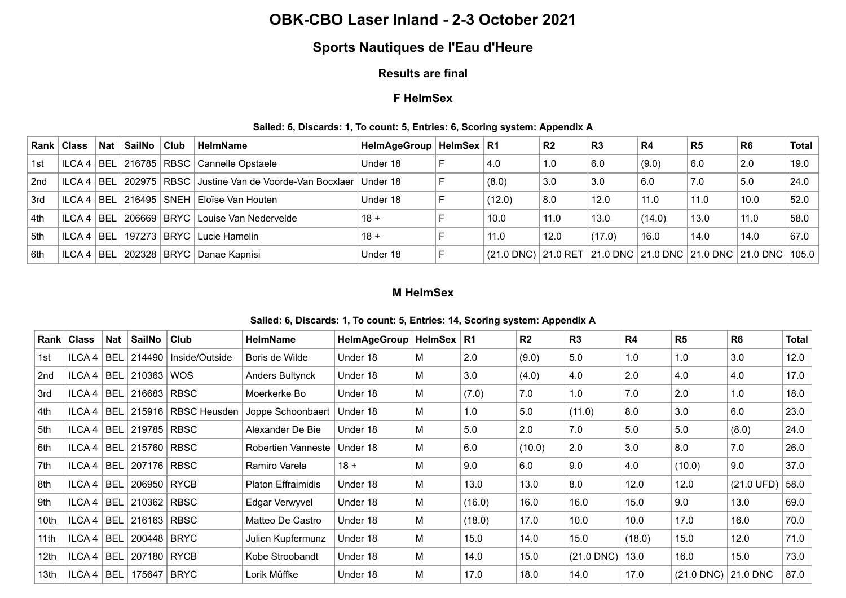## **OBK-CBO Laser Inland - 2-3 October 2021**

# **Sports Nautiques de l'Eau d'Heure**

#### **Results are final**

## **F HelmSex**

#### **Sailed: 6, Discards: 1, To count: 5, Entries: 6, Scoring system: Appendix A**

|       | Rank   Class      | <b>Nat</b> | ∣SailNo | <b>Club</b> | <b>HelmName</b>                                              | HelmAgeGroup   HelmSex   R1 |                                                                                                            | R <sub>2</sub> | R <sub>3</sub> | R <sub>4</sub> | R <sub>5</sub> | R <sub>6</sub> | <b>Total</b> |
|-------|-------------------|------------|---------|-------------|--------------------------------------------------------------|-----------------------------|------------------------------------------------------------------------------------------------------------|----------------|----------------|----------------|----------------|----------------|--------------|
| 1st   | ILCA <sub>4</sub> |            |         |             | BEL 216785 RBSC Cannelle Opstaele                            | Under 18                    | 4.0                                                                                                        | 1.0            | 6.0            | (9.0)          | 6.0            | 2.0            | 19.0         |
| 2nd   | ILCA 4            |            |         |             | │BEL│202975│RBSC│Justine Van de Voorde-Van Bocxlaer│Under 18 |                             | (8.0)                                                                                                      | 3.0            | 3.0            | 6.0            | 7.0            | 5.0            | 24.0         |
| ∣3rd  | ILCA <sub>4</sub> | 'BEL       |         |             | .   216495   SNEH   Eloïse Van Houten                        | Under 18                    | (12.0)                                                                                                     | 8.0            | 12.0           | 11.0           | 11.0           | 10.0           | 52.0         |
| l 4th | ILCA 4            |            |         |             | BEL 206669 BRYC Louise Van Nedervelde                        | $18 +$                      | 10.0                                                                                                       | 11.0           | 13.0           | (14.0)         | 13.0           | 11.0           | 58.0         |
| 5th   | ILCA <sub>4</sub> | 'BEL       |         |             | 197273   BRYC   Lucie Hamelin                                | $18 +$                      | 11.0                                                                                                       | 12.0           | (17.0)         | 16.0           | 14.0           | 14.0           | 67.0         |
| ∣6th  | ILCA <sub>4</sub> | BEL'       |         |             | . 202328 BRYC Danae Kapnisi                                  | Under 18                    | $ (21.0\text{ DNC}) 21.0\text{ RET} 21.0\text{ DNC} 21.0\text{ DNC} 21.0\text{ DNC} 21.0\text{ DNC} 105.0$ |                |                |                |                |                |              |

### **M HelmSex**

|                  | Rank   Class | Nat | <b>SailNo</b> | Club                | <b>HelmName</b>           | HelmAgeGroup | HelmSex   R1 |        | R <sub>2</sub> | R3           | R4     | R <sub>5</sub> | R <sub>6</sub>       | Total |
|------------------|--------------|-----|---------------|---------------------|---------------------------|--------------|--------------|--------|----------------|--------------|--------|----------------|----------------------|-------|
| 1st              | ILCA 4   BEL |     | 214490        | Inside/Outside      | Boris de Wilde            | Under 18     | М            | 2.0    | (9.0)          | 5.0          | 1.0    | 1.0            | 3.0                  | 12.0  |
| 2nd              | ILCA 4   BEL |     | 210363        | <b>WOS</b>          | Anders Bultynck           | Under 18     | М            | 3.0    | (4.0)          | 4.0          | 2.0    | 4.0            | 4.0                  | 17.0  |
| 3rd              | ILCA 4   BEL |     | $216683$ RBSC |                     | Moerkerke Bo              | Under 18     | М            | (7.0)  | 7.0            | 1.0          | 7.0    | 2.0            | 1.0                  | 18.0  |
| 4th              | ILCA 4   BEL |     | 215916        | <b>RBSC Heusden</b> | Joppe Schoonbaert         | Under 18     | М            | 1.0    | 5.0            | (11.0)       | 8.0    | 3.0            | 6.0                  | 23.0  |
| 5th              | ILCA 4   BEL |     | 219785 RBSC   |                     | Alexander De Bie          | Under 18     | М            | 5.0    | 2.0            | 7.0          | 5.0    | 5.0            | (8.0)                | 24.0  |
| 6th              | ILCA 4   BEL |     | 215760 RBSC   |                     | Robertien Vanneste        | Under 18     | М            | 6.0    | (10.0)         | 2.0          | 3.0    | 8.0            | 7.0                  | 26.0  |
| 7th              | ILCA 4   BEL |     | 207176        | <b>RBSC</b>         | Ramiro Varela             | $18 +$       | м            | 9.0    | 6.0            | 9.0          | 4.0    | (10.0)         | 9.0                  | 37.0  |
| 8th              | ILCA 4   BEL |     | 206950 RYCB   |                     | <b>Platon Effraimidis</b> | Under 18     | М            | 13.0   | 13.0           | 8.0          | 12.0   | 12.0           | $(21.0 \text{ UFD})$ | 58.0  |
| 9th              | ILCA 4   BEL |     | 210362        | <b>RBSC</b>         | Edgar Verwyvel            | Under 18     | М            | (16.0) | 16.0           | 16.0         | 15.0   | 9.0            | 13.0                 | 69.0  |
| 10th             | ILCA 4   BEL |     | 216163 RBSC   |                     | Matteo De Castro          | Under 18     | М            | (18.0) | 17.0           | 10.0         | 10.0   | 17.0           | 16.0                 | 70.0  |
| 11 <sub>th</sub> | ILCA 4   BEL |     | 200448 BRYC   |                     | Julien Kupfermunz         | Under 18     | М            | 15.0   | 14.0           | 15.0         | (18.0) | 15.0           | 12.0                 | 71.0  |
| 12th             | ILCA 4   BEL |     | 207180 RYCB   |                     | Kobe Stroobandt           | Under 18     | М            | 14.0   | 15.0           | $(21.0$ DNC) | 13.0   | 16.0           | 15.0                 | 73.0  |
| 13th             | ILCA 4   BEL |     | 175647 BRYC   |                     | Lorik Müffke              | Under 18     | м            | 17.0   | 18.0           | 14.0         | 17.0   | $(21.0$ DNC)   | 21.0 DNC             | 87.0  |

#### **Sailed: 6, Discards: 1, To count: 5, Entries: 14, Scoring system: Appendix A**